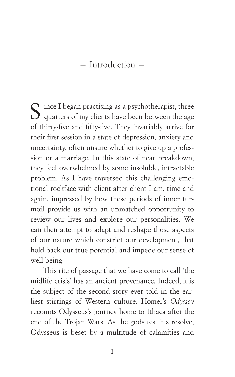– Introduction –

 $\sum$  ince I began practising as a psychotherapist, three  $\bigcup$  quarters of my clients have been between the age of thirty-five and fifty-five. They invariably arrive for their first session in a state of depression, anxiety and uncertainty, often unsure whether to give up a profession or a marriage. In this state of near breakdown, they feel overwhelmed by some insoluble, intractable problem. As I have traversed this challenging emotional rockface with client after client I am, time and again, impressed by how these periods of inner turmoil provide us with an unmatched opportunity to review our lives and explore our personalities. We can then attempt to adapt and reshape those aspects of our nature which constrict our development, that hold back our true potential and impede our sense of well-being.

This rite of passage that we have come to call 'the midlife crisis' has an ancient provenance. Indeed, it is the subject of the second story ever told in the earliest stirrings of Western culture. Homer's *Odyssey* recounts Odysseus's journey home to Ithaca after the end of the Trojan Wars. As the gods test his resolve, Odysseus is beset by a multitude of calamities and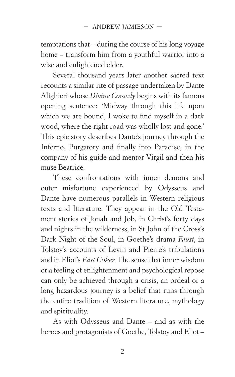temptations that – during the course of his long voyage home – transform him from a youthful warrior into a wise and enlightened elder.

Several thousand years later another sacred text recounts a similar rite of passage undertaken by Dante Alighieri whose *Divine Comedy* begins with its famous opening sentence: 'Midway through this life upon which we are bound, I woke to find myself in a dark wood, where the right road was wholly lost and gone.' This epic story describes Dante's journey through the Inferno, Purgatory and finally into Paradise, in the company of his guide and mentor Virgil and then his muse Beatrice.

These confrontations with inner demons and outer misfortune experienced by Odysseus and Dante have numerous parallels in Western religious texts and literature. They appear in the Old Testament stories of Jonah and Job, in Christ's forty days and nights in the wilderness, in St John of the Cross's Dark Night of the Soul, in Goethe's drama *Faust*, in Tolstoy's accounts of Levin and Pierre's tribulations and in Eliot's *East Coker*. The sense that inner wisdom or a feeling of enlightenment and psychological repose can only be achieved through a crisis, an ordeal or a long hazardous journey is a belief that runs through the entire tradition of Western literature, mythology and spirituality.

As with Odysseus and Dante – and as with the heroes and protagonists of Goethe, Tolstoy and Eliot –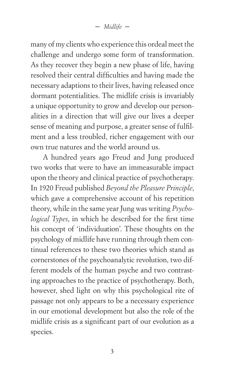– *Midlife* –

many of my clients who experience this ordeal meet the challenge and undergo some form of transformation. As they recover they begin a new phase of life, having resolved their central difficulties and having made the necessary adaptions to their lives, having released once dormant potentialities. The midlife crisis is invariably a unique opportunity to grow and develop our personalities in a direction that will give our lives a deeper sense of meaning and purpose, a greater sense of fulfilment and a less troubled, richer engagement with our own true natures and the world around us.

A hundred years ago Freud and Jung produced two works that were to have an immeasurable impact upon the theory and clinical practice of psychotherapy. In 1920 Freud published *Beyond the Pleasure Principle*, which gave a comprehensive account of his repetition theory, while in the same year Jung was writing *Psychological Types*, in which he described for the first time his concept of 'individuation'. These thoughts on the psychology of midlife have running through them continual references to these two theories which stand as cornerstones of the psychoanalytic revolution, two different models of the human psyche and two contrasting approaches to the practice of psychotherapy. Both, however, shed light on why this psychological rite of passage not only appears to be a necessary experience in our emotional development but also the role of the midlife crisis as a significant part of our evolution as a species.